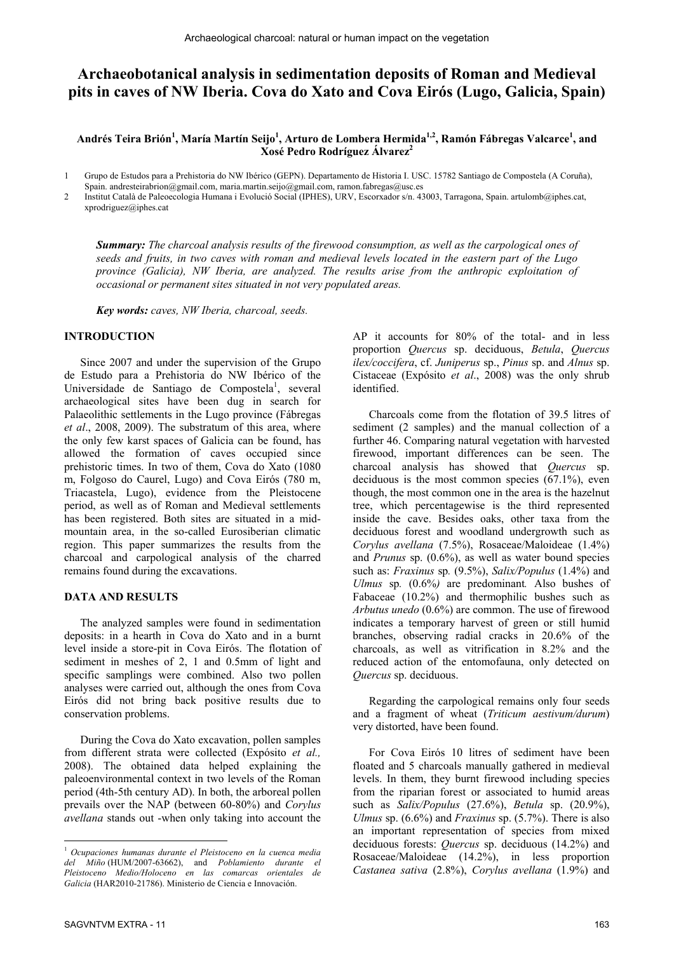# **Archaeobotanical analysis in sedimentation deposits of Roman and Medieval pits in caves of NW Iberia. Cova do Xato and Cova Eirós (Lugo, Galicia, Spain)**

## Andrés Teira Brión<sup>1</sup>, María Martín Seijo<sup>1</sup>, Arturo de Lombera Hermida<sup>1,2</sup>, Ramón Fábregas Valcarce<sup>1</sup>, and **Xosé Pedro Rodríguez Álvarez2**

1 Grupo de Estudos para a Prehistoria do NW Ibérico (GEPN). Departamento de Historia I. USC. 15782 Santiago de Compostela (A Coruña),

Spain. andresteirabrion@gmail.com, maria.martin.seijo@gmail.com, ramon.fabregas@usc.es

2 Institut Català de Paleoecologia Humana i Evolució Social (IPHES), URV, Escorxador s/n. 43003, Tarragona, Spain. artulomb@iphes.cat, xprodriguez@iphes.cat

*Summary: The charcoal analysis results of the firewood consumption, as well as the carpological ones of seeds and fruits, in two caves with roman and medieval levels located in the eastern part of the Lugo province (Galicia), NW Iberia, are analyzed. The results arise from the anthropic exploitation of occasional or permanent sites situated in not very populated areas.* 

*Key words: caves, NW Iberia, charcoal, seeds.* 

#### **INTRODUCTION**

Since 2007 and under the supervision of the Grupo de Estudo para a Prehistoria do NW Ibérico of the Universidade de Santiago de Compostela<sup>1</sup>, several archaeological sites have been dug in search for Palaeolithic settlements in the Lugo province (Fábregas *et al*., 2008, 2009). The substratum of this area, where the only few karst spaces of Galicia can be found, has allowed the formation of caves occupied since prehistoric times. In two of them, Cova do Xato (1080 m, Folgoso do Caurel, Lugo) and Cova Eirós (780 m, Triacastela, Lugo), evidence from the Pleistocene period, as well as of Roman and Medieval settlements has been registered. Both sites are situated in a midmountain area, in the so-called Eurosiberian climatic region. This paper summarizes the results from the charcoal and carpological analysis of the charred remains found during the excavations.

#### **DATA AND RESULTS**

The analyzed samples were found in sedimentation deposits: in a hearth in Cova do Xato and in a burnt level inside a store-pit in Cova Eirós. The flotation of sediment in meshes of 2, 1 and 0.5mm of light and specific samplings were combined. Also two pollen analyses were carried out, although the ones from Cova Eirós did not bring back positive results due to conservation problems.

During the Cova do Xato excavation, pollen samples from different strata were collected (Expósito *et al.,* 2008). The obtained data helped explaining the paleoenvironmental context in two levels of the Roman period (4th-5th century AD). In both, the arboreal pollen prevails over the NAP (between 60-80%) and *Corylus avellana* stands out -when only taking into account the AP it accounts for 80% of the total- and in less proportion *Quercus* sp. deciduous, *Betula*, *Quercus ilex/coccifera*, cf. *Juniperus* sp., *Pinus* sp. and *Alnus* sp. Cistaceae (Expósito *et al*., 2008) was the only shrub identified.

Charcoals come from the flotation of 39.5 litres of sediment (2 samples) and the manual collection of a further 46. Comparing natural vegetation with harvested firewood, important differences can be seen. The charcoal analysis has showed that *Quercus* sp. deciduous is the most common species (67.1%), even though, the most common one in the area is the hazelnut tree, which percentagewise is the third represented inside the cave. Besides oaks, other taxa from the deciduous forest and woodland undergrowth such as *Corylus avellana* (7.5%), Rosaceae/Maloideae (1.4%) and *Prunus* sp. (0.6%), as well as water bound species such as: *Fraxinus* sp*.* (9.5%), *Salix/Populus* (1.4%) and *Ulmus* sp*.* (0.6%*)* are predominant*.* Also bushes of Fabaceae (10.2%) and thermophilic bushes such as *Arbutus unedo* (0.6%) are common. The use of firewood indicates a temporary harvest of green or still humid branches, observing radial cracks in 20.6% of the charcoals, as well as vitrification in 8.2% and the reduced action of the entomofauna, only detected on *Quercus* sp. deciduous.

Regarding the carpological remains only four seeds and a fragment of wheat (*Triticum aestivum/durum*) very distorted, have been found.

For Cova Eirós 10 litres of sediment have been floated and 5 charcoals manually gathered in medieval levels. In them, they burnt firewood including species from the riparian forest or associated to humid areas such as *Salix/Populus* (27.6%), *Betula* sp. (20.9%), *Ulmus* sp. (6.6%) and *Fraxinus* sp. (5.7%). There is also an important representation of species from mixed deciduous forests: *Quercus* sp. deciduous (14.2%) and Rosaceae/Maloideae (14.2%), in less proportion *Castanea sativa* (2.8%), *Corylus avellana* (1.9%) and

 $\overline{a}$ 

<sup>1</sup> *Ocupaciones humanas durante el Pleistoceno en la cuenca media del Miño* (HUM/2007-63662), and *Poblamiento durante el Pleistoceno Medio/Holoceno en las comarcas orientales de Galicia* (HAR2010-21786). Ministerio de Ciencia e Innovación.